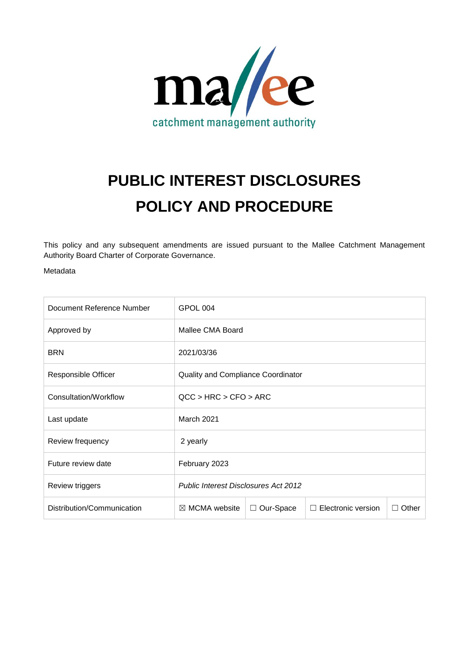

# **PUBLIC INTEREST DISCLOSURES POLICY AND PROCEDURE**

This policy and any subsequent amendments are issued pursuant to the Mallee Catchment Management Authority Board Charter of Corporate Governance.

Metadata

| Document Reference Number  | GPOL 004                                    |                |                    |       |
|----------------------------|---------------------------------------------|----------------|--------------------|-------|
| Approved by                | Mallee CMA Board                            |                |                    |       |
| <b>BRN</b>                 | 2021/03/36                                  |                |                    |       |
| Responsible Officer        | <b>Quality and Compliance Coordinator</b>   |                |                    |       |
| Consultation/Workflow      | QCC > HRC > CFO > ARC                       |                |                    |       |
| Last update                | March 2021                                  |                |                    |       |
| Review frequency           | 2 yearly                                    |                |                    |       |
| Future review date         | February 2023                               |                |                    |       |
| Review triggers            | <b>Public Interest Disclosures Act 2012</b> |                |                    |       |
| Distribution/Communication | $\boxtimes$ MCMA website                    | Our-Space<br>Ш | Electronic version | Other |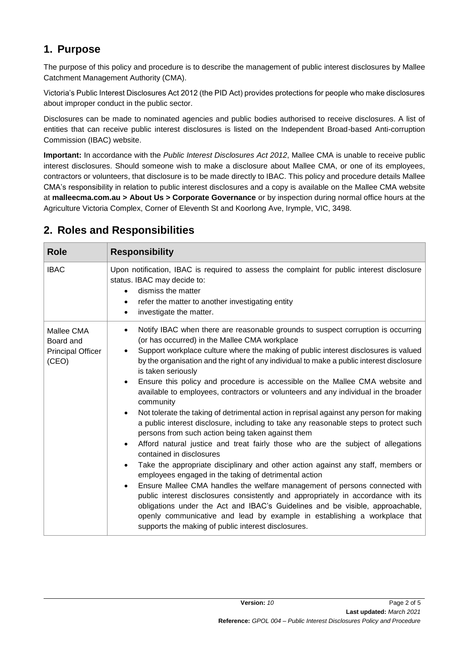### **1. Purpose**

The purpose of this policy and procedure is to describe the management of public interest disclosures by Mallee Catchment Management Authority (CMA).

Victoria's Public Interest Disclosures Act 2012 (the PID Act) provides protections for people who make disclosures about improper conduct in the public sector.

Disclosures can be made to nominated agencies and public bodies authorised to receive disclosures. A list of entities that can receive public interest disclosures is listed on the Independent Broad-based Anti-corruption Commission (IBAC) website.

**Important:** In accordance with the *Public Interest Disclosures Act 2012*, Mallee CMA is unable to receive public interest disclosures. Should someone wish to make a disclosure about Mallee CMA, or one of its employees, contractors or volunteers, that disclosure is to be made directly to IBAC. This policy and procedure details Mallee CMA's responsibility in relation to public interest disclosures and a copy is available on the Mallee CMA website at **malleecma.com.au > About Us > Corporate Governance** or by inspection during normal office hours at the Agriculture Victoria Complex, Corner of Eleventh St and Koorlong Ave, Irymple, VIC, 3498.

| <b>Role</b>                                                  | <b>Responsibility</b>                                                                                                                                                                                                                                                                                                                                                                                                                                                                                                                                                                                                                                                                                                                                                                                                                                                                                                                                                                                                                                                                                                                                                                                                                                                                                                                                                                                                                                                                                                  |
|--------------------------------------------------------------|------------------------------------------------------------------------------------------------------------------------------------------------------------------------------------------------------------------------------------------------------------------------------------------------------------------------------------------------------------------------------------------------------------------------------------------------------------------------------------------------------------------------------------------------------------------------------------------------------------------------------------------------------------------------------------------------------------------------------------------------------------------------------------------------------------------------------------------------------------------------------------------------------------------------------------------------------------------------------------------------------------------------------------------------------------------------------------------------------------------------------------------------------------------------------------------------------------------------------------------------------------------------------------------------------------------------------------------------------------------------------------------------------------------------------------------------------------------------------------------------------------------------|
| <b>IBAC</b>                                                  | Upon notification, IBAC is required to assess the complaint for public interest disclosure<br>status. IBAC may decide to:<br>dismiss the matter<br>$\bullet$<br>refer the matter to another investigating entity<br>$\bullet$<br>investigate the matter.<br>$\bullet$                                                                                                                                                                                                                                                                                                                                                                                                                                                                                                                                                                                                                                                                                                                                                                                                                                                                                                                                                                                                                                                                                                                                                                                                                                                  |
| Mallee CMA<br>Board and<br><b>Principal Officer</b><br>(CEO) | Notify IBAC when there are reasonable grounds to suspect corruption is occurring<br>$\bullet$<br>(or has occurred) in the Mallee CMA workplace<br>Support workplace culture where the making of public interest disclosures is valued<br>$\bullet$<br>by the organisation and the right of any individual to make a public interest disclosure<br>is taken seriously<br>Ensure this policy and procedure is accessible on the Mallee CMA website and<br>$\bullet$<br>available to employees, contractors or volunteers and any individual in the broader<br>community<br>Not tolerate the taking of detrimental action in reprisal against any person for making<br>$\bullet$<br>a public interest disclosure, including to take any reasonable steps to protect such<br>persons from such action being taken against them<br>Afford natural justice and treat fairly those who are the subject of allegations<br>$\bullet$<br>contained in disclosures<br>Take the appropriate disciplinary and other action against any staff, members or<br>$\bullet$<br>employees engaged in the taking of detrimental action<br>Ensure Mallee CMA handles the welfare management of persons connected with<br>$\bullet$<br>public interest disclosures consistently and appropriately in accordance with its<br>obligations under the Act and IBAC's Guidelines and be visible, approachable,<br>openly communicative and lead by example in establishing a workplace that<br>supports the making of public interest disclosures. |

### **2. Roles and Responsibilities**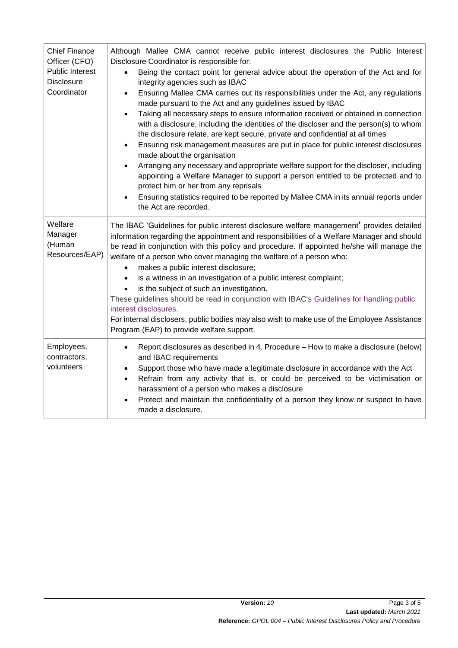| <b>Chief Finance</b><br>Officer (CFO)<br><b>Public Interest</b><br><b>Disclosure</b><br>Coordinator | Although Mallee CMA cannot receive public interest disclosures the Public Interest<br>Disclosure Coordinator is responsible for:<br>Being the contact point for general advice about the operation of the Act and for<br>integrity agencies such as IBAC<br>Ensuring Mallee CMA carries out its responsibilities under the Act, any regulations<br>$\bullet$<br>made pursuant to the Act and any guidelines issued by IBAC<br>Taking all necessary steps to ensure information received or obtained in connection<br>$\bullet$<br>with a disclosure, including the identities of the discloser and the person(s) to whom<br>the disclosure relate, are kept secure, private and confidential at all times<br>Ensuring risk management measures are put in place for public interest disclosures<br>$\bullet$<br>made about the organisation<br>Arranging any necessary and appropriate welfare support for the discloser, including<br>$\bullet$<br>appointing a Welfare Manager to support a person entitled to be protected and to<br>protect him or her from any reprisals<br>Ensuring statistics required to be reported by Mallee CMA in its annual reports under<br>the Act are recorded. |
|-----------------------------------------------------------------------------------------------------|-------------------------------------------------------------------------------------------------------------------------------------------------------------------------------------------------------------------------------------------------------------------------------------------------------------------------------------------------------------------------------------------------------------------------------------------------------------------------------------------------------------------------------------------------------------------------------------------------------------------------------------------------------------------------------------------------------------------------------------------------------------------------------------------------------------------------------------------------------------------------------------------------------------------------------------------------------------------------------------------------------------------------------------------------------------------------------------------------------------------------------------------------------------------------------------------------|
| Welfare<br>Manager<br>(Human<br>Resources/EAP)                                                      | The IBAC 'Guidelines for public interest disclosure welfare management' provides detailed<br>information regarding the appointment and responsibilities of a Welfare Manager and should<br>be read in conjunction with this policy and procedure. If appointed he/she will manage the<br>welfare of a person who cover managing the welfare of a person who:<br>makes a public interest disclosure;<br>$\bullet$<br>is a witness in an investigation of a public interest complaint;<br>$\bullet$<br>is the subject of such an investigation.<br>These guidelines should be read in conjunction with IBAC's Guidelines for handling public<br>interest disclosures.<br>For internal disclosers, public bodies may also wish to make use of the Employee Assistance<br>Program (EAP) to provide welfare support.                                                                                                                                                                                                                                                                                                                                                                                 |
| Employees,<br>contractors,<br>volunteers                                                            | Report disclosures as described in 4. Procedure - How to make a disclosure (below)<br>$\bullet$<br>and IBAC requirements<br>Support those who have made a legitimate disclosure in accordance with the Act<br>$\bullet$<br>Refrain from any activity that is, or could be perceived to be victimisation or<br>$\bullet$<br>harassment of a person who makes a disclosure<br>Protect and maintain the confidentiality of a person they know or suspect to have<br>$\bullet$<br>made a disclosure.                                                                                                                                                                                                                                                                                                                                                                                                                                                                                                                                                                                                                                                                                                |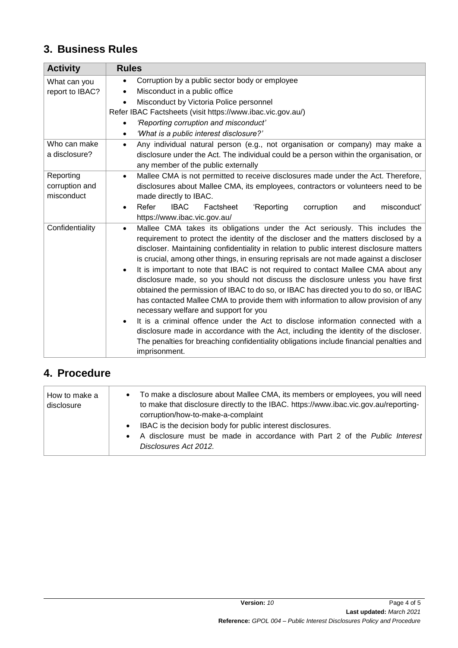# **3. Business Rules**

| <b>Activity</b> | <b>Rules</b>                                                                                                                                                                                                                                                                                                                                                                                                                                                                                                                                                                                                                                                                                                                                                                                                                                                                                                                                                                                                                                                                           |
|-----------------|----------------------------------------------------------------------------------------------------------------------------------------------------------------------------------------------------------------------------------------------------------------------------------------------------------------------------------------------------------------------------------------------------------------------------------------------------------------------------------------------------------------------------------------------------------------------------------------------------------------------------------------------------------------------------------------------------------------------------------------------------------------------------------------------------------------------------------------------------------------------------------------------------------------------------------------------------------------------------------------------------------------------------------------------------------------------------------------|
| What can you    | Corruption by a public sector body or employee<br>$\bullet$                                                                                                                                                                                                                                                                                                                                                                                                                                                                                                                                                                                                                                                                                                                                                                                                                                                                                                                                                                                                                            |
| report to IBAC? | Misconduct in a public office<br>$\bullet$                                                                                                                                                                                                                                                                                                                                                                                                                                                                                                                                                                                                                                                                                                                                                                                                                                                                                                                                                                                                                                             |
|                 | Misconduct by Victoria Police personnel<br>$\bullet$                                                                                                                                                                                                                                                                                                                                                                                                                                                                                                                                                                                                                                                                                                                                                                                                                                                                                                                                                                                                                                   |
|                 | Refer IBAC Factsheets (visit https://www.ibac.vic.gov.au/)                                                                                                                                                                                                                                                                                                                                                                                                                                                                                                                                                                                                                                                                                                                                                                                                                                                                                                                                                                                                                             |
|                 | 'Reporting corruption and misconduct'<br>$\bullet$                                                                                                                                                                                                                                                                                                                                                                                                                                                                                                                                                                                                                                                                                                                                                                                                                                                                                                                                                                                                                                     |
|                 | "What is a public interest disclosure?"<br>$\bullet$                                                                                                                                                                                                                                                                                                                                                                                                                                                                                                                                                                                                                                                                                                                                                                                                                                                                                                                                                                                                                                   |
| Who can make    | Any individual natural person (e.g., not organisation or company) may make a<br>$\bullet$                                                                                                                                                                                                                                                                                                                                                                                                                                                                                                                                                                                                                                                                                                                                                                                                                                                                                                                                                                                              |
| a disclosure?   | disclosure under the Act. The individual could be a person within the organisation, or<br>any member of the public externally                                                                                                                                                                                                                                                                                                                                                                                                                                                                                                                                                                                                                                                                                                                                                                                                                                                                                                                                                          |
| Reporting       | Mallee CMA is not permitted to receive disclosures made under the Act. Therefore,<br>$\bullet$                                                                                                                                                                                                                                                                                                                                                                                                                                                                                                                                                                                                                                                                                                                                                                                                                                                                                                                                                                                         |
| corruption and  | disclosures about Mallee CMA, its employees, contractors or volunteers need to be                                                                                                                                                                                                                                                                                                                                                                                                                                                                                                                                                                                                                                                                                                                                                                                                                                                                                                                                                                                                      |
| misconduct      | made directly to IBAC.                                                                                                                                                                                                                                                                                                                                                                                                                                                                                                                                                                                                                                                                                                                                                                                                                                                                                                                                                                                                                                                                 |
|                 | Refer<br><b>IBAC</b><br>'Reporting<br>misconduct'<br>Factsheet<br>corruption<br>and                                                                                                                                                                                                                                                                                                                                                                                                                                                                                                                                                                                                                                                                                                                                                                                                                                                                                                                                                                                                    |
|                 | https://www.ibac.vic.gov.au/                                                                                                                                                                                                                                                                                                                                                                                                                                                                                                                                                                                                                                                                                                                                                                                                                                                                                                                                                                                                                                                           |
| Confidentiality | Mallee CMA takes its obligations under the Act seriously. This includes the<br>$\bullet$<br>requirement to protect the identity of the discloser and the matters disclosed by a<br>discloser. Maintaining confidentiality in relation to public interest disclosure matters<br>is crucial, among other things, in ensuring reprisals are not made against a discloser<br>It is important to note that IBAC is not required to contact Mallee CMA about any<br>$\bullet$<br>disclosure made, so you should not discuss the disclosure unless you have first<br>obtained the permission of IBAC to do so, or IBAC has directed you to do so, or IBAC<br>has contacted Mallee CMA to provide them with information to allow provision of any<br>necessary welfare and support for you<br>It is a criminal offence under the Act to disclose information connected with a<br>$\bullet$<br>disclosure made in accordance with the Act, including the identity of the discloser.<br>The penalties for breaching confidentiality obligations include financial penalties and<br>imprisonment. |

# **4. Procedure**

| How to make a<br>disclosure | • To make a disclosure about Mallee CMA, its members or employees, you will need<br>to make that disclosure directly to the IBAC. https://www.ibac.vic.gov.au/reporting-<br>corruption/how-to-make-a-complaint |
|-----------------------------|----------------------------------------------------------------------------------------------------------------------------------------------------------------------------------------------------------------|
|                             | IBAC is the decision body for public interest disclosures.<br>$\bullet$                                                                                                                                        |
|                             | A disclosure must be made in accordance with Part 2 of the Public Interest<br>$\bullet$<br>Disclosures Act 2012.                                                                                               |